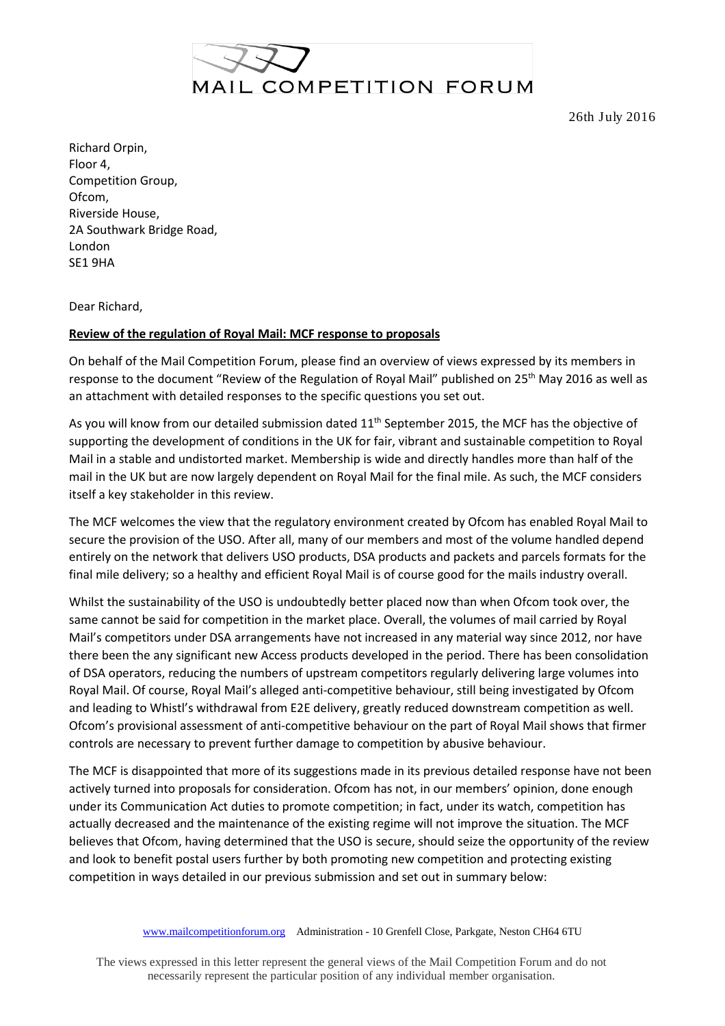

26th July 2016

Richard Orpin, Floor 4, Competition Group, Ofcom, Riverside House, 2A Southwark Bridge Road, London SE1 9HA

Dear Richard,

## **Review of the regulation of Royal Mail: MCF response to proposals**

On behalf of the Mail Competition Forum, please find an overview of views expressed by its members in response to the document "Review of the Regulation of Royal Mail" published on 25<sup>th</sup> May 2016 as well as an attachment with detailed responses to the specific questions you set out.

As you will know from our detailed submission dated 11<sup>th</sup> September 2015, the MCF has the objective of supporting the development of conditions in the UK for fair, vibrant and sustainable competition to Royal Mail in a stable and undistorted market. Membership is wide and directly handles more than half of the mail in the UK but are now largely dependent on Royal Mail for the final mile. As such, the MCF considers itself a key stakeholder in this review.

The MCF welcomes the view that the regulatory environment created by Ofcom has enabled Royal Mail to secure the provision of the USO. After all, many of our members and most of the volume handled depend entirely on the network that delivers USO products, DSA products and packets and parcels formats for the final mile delivery; so a healthy and efficient Royal Mail is of course good for the mails industry overall.

Whilst the sustainability of the USO is undoubtedly better placed now than when Ofcom took over, the same cannot be said for competition in the market place. Overall, the volumes of mail carried by Royal Mail's competitors under DSA arrangements have not increased in any material way since 2012, nor have there been the any significant new Access products developed in the period. There has been consolidation of DSA operators, reducing the numbers of upstream competitors regularly delivering large volumes into Royal Mail. Of course, Royal Mail's alleged anti-competitive behaviour, still being investigated by Ofcom and leading to Whistl's withdrawal from E2E delivery, greatly reduced downstream competition as well. Ofcom's provisional assessment of anti-competitive behaviour on the part of Royal Mail shows that firmer controls are necessary to prevent further damage to competition by abusive behaviour.

The MCF is disappointed that more of its suggestions made in its previous detailed response have not been actively turned into proposals for consideration. Ofcom has not, in our members' opinion, done enough under its Communication Act duties to promote competition; in fact, under its watch, competition has actually decreased and the maintenance of the existing regime will not improve the situation. The MCF believes that Ofcom, having determined that the USO is secure, should seize the opportunity of the review and look to benefit postal users further by both promoting new competition and protecting existing competition in ways detailed in our previous submission and set out in summary below:

The views expressed in this letter represent the general views of the Mail Competition Forum and do not necessarily represent the particular position of any individual member organisation.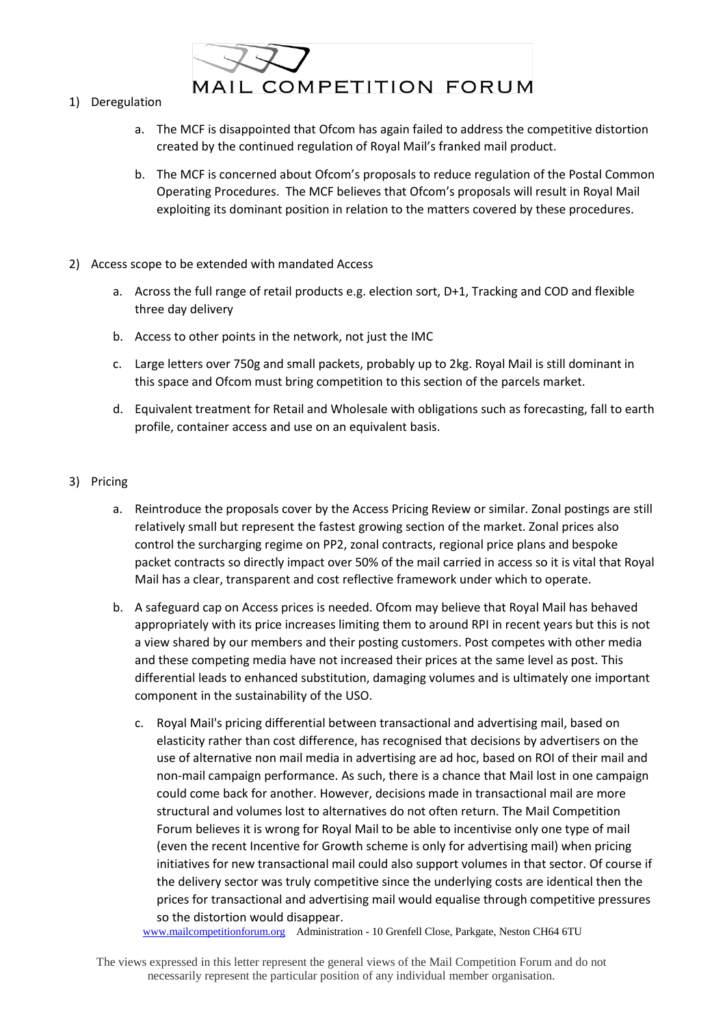

- 1) Deregulation
	- a. The MCF is disappointed that Ofcom has again failed to address the competitive distortion created by the continued regulation of Royal Mail's franked mail product.
	- b. The MCF is concerned about Ofcom's proposals to reduce regulation of the Postal Common Operating Procedures. The MCF believes that Ofcom's proposals will result in Royal Mail exploiting its dominant position in relation to the matters covered by these procedures.
- 2) Access scope to be extended with mandated Access
	- a. Across the full range of retail products e.g. election sort, D+1, Tracking and COD and flexible three day delivery
	- b. Access to other points in the network, not just the IMC
	- c. Large letters over 750g and small packets, probably up to 2kg. Royal Mail is still dominant in this space and Ofcom must bring competition to this section of the parcels market.
	- d. Equivalent treatment for Retail and Wholesale with obligations such as forecasting, fall to earth profile, container access and use on an equivalent basis.

## 3) Pricing

- a. Reintroduce the proposals cover by the Access Pricing Review or similar. Zonal postings are still relatively small but represent the fastest growing section of the market. Zonal prices also control the surcharging regime on PP2, zonal contracts, regional price plans and bespoke packet contracts so directly impact over 50% of the mail carried in access so it is vital that Royal Mail has a clear, transparent and cost reflective framework under which to operate.
- b. A safeguard cap on Access prices is needed. Ofcom may believe that Royal Mail has behaved appropriately with its price increases limiting them to around RPI in recent years but this is not a view shared by our members and their posting customers. Post competes with other media and these competing media have not increased their prices at the same level as post. This differential leads to enhanced substitution, damaging volumes and is ultimately one important component in the sustainability of the USO.
	- c. Royal Mail's pricing differential between transactional and advertising mail, based on elasticity rather than cost difference, has recognised that decisions by advertisers on the use of alternative non mail media in advertising are ad hoc, based on ROI of their mail and non-mail campaign performance. As such, there is a chance that Mail lost in one campaign could come back for another. However, decisions made in transactional mail are more structural and volumes lost to alternatives do not often return. The Mail Competition Forum believes it is wrong for Royal Mail to be able to incentivise only one type of mail (even the recent Incentive for Growth scheme is only for advertising mail) when pricing initiatives for new transactional mail could also support volumes in that sector. Of course if the delivery sector was truly competitive since the underlying costs are identical then the prices for transactional and advertising mail would equalise through competitive pressures so the distortion would disappear.

[www.mailcompetitionforum.org](http://www.mailcompetitionforum.org/) Administration - 10 Grenfell Close, Parkgate, Neston CH64 6TU

The views expressed in this letter represent the general views of the Mail Competition Forum and do not necessarily represent the particular position of any individual member organisation.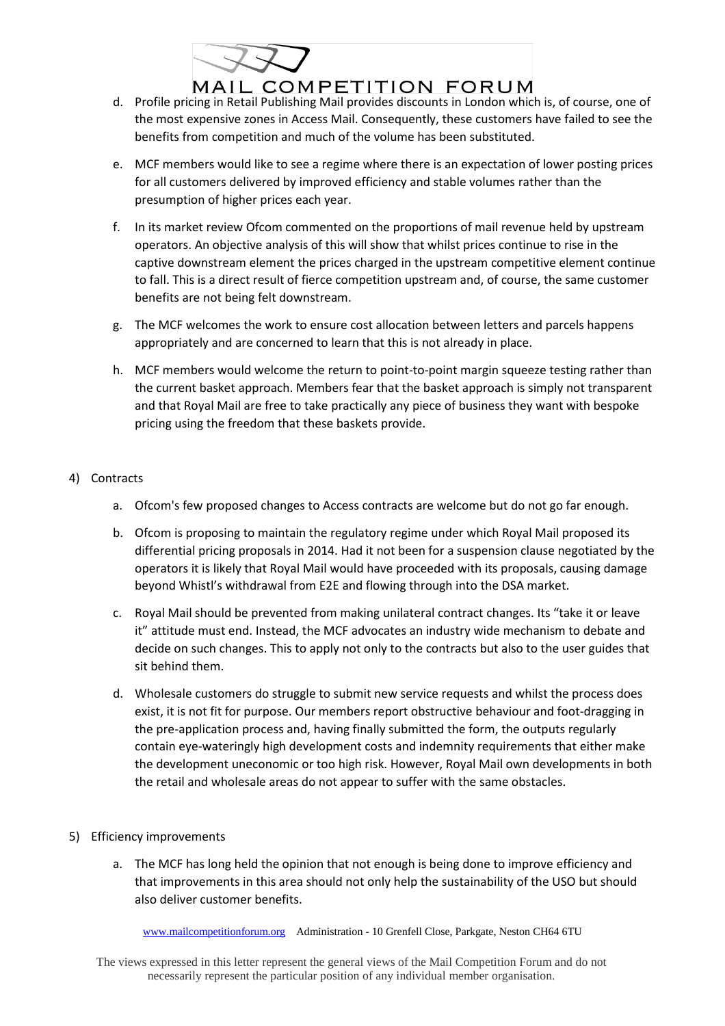

- d. Profile pricing in Retail Publishing Mail provides discounts in London which is, of course, one of the most expensive zones in Access Mail. Consequently, these customers have failed to see the benefits from competition and much of the volume has been substituted.
- e. MCF members would like to see a regime where there is an expectation of lower posting prices for all customers delivered by improved efficiency and stable volumes rather than the presumption of higher prices each year.
- f. In its market review Ofcom commented on the proportions of mail revenue held by upstream operators. An objective analysis of this will show that whilst prices continue to rise in the captive downstream element the prices charged in the upstream competitive element continue to fall. This is a direct result of fierce competition upstream and, of course, the same customer benefits are not being felt downstream.
- g. The MCF welcomes the work to ensure cost allocation between letters and parcels happens appropriately and are concerned to learn that this is not already in place.
- h. MCF members would welcome the return to point-to-point margin squeeze testing rather than the current basket approach. Members fear that the basket approach is simply not transparent and that Royal Mail are free to take practically any piece of business they want with bespoke pricing using the freedom that these baskets provide.

## 4) Contracts

- a. Ofcom's few proposed changes to Access contracts are welcome but do not go far enough.
- b. Ofcom is proposing to maintain the regulatory regime under which Royal Mail proposed its differential pricing proposals in 2014. Had it not been for a suspension clause negotiated by the operators it is likely that Royal Mail would have proceeded with its proposals, causing damage beyond Whistl's withdrawal from E2E and flowing through into the DSA market.
- c. Royal Mail should be prevented from making unilateral contract changes. Its "take it or leave it" attitude must end. Instead, the MCF advocates an industry wide mechanism to debate and decide on such changes. This to apply not only to the contracts but also to the user guides that sit behind them.
- d. Wholesale customers do struggle to submit new service requests and whilst the process does exist, it is not fit for purpose. Our members report obstructive behaviour and foot-dragging in the pre-application process and, having finally submitted the form, the outputs regularly contain eye-wateringly high development costs and indemnity requirements that either make the development uneconomic or too high risk. However, Royal Mail own developments in both the retail and wholesale areas do not appear to suffer with the same obstacles.

## 5) Efficiency improvements

a. The MCF has long held the opinion that not enough is being done to improve efficiency and that improvements in this area should not only help the sustainability of the USO but should also deliver customer benefits.

[www.mailcompetitionforum.org](http://www.mailcompetitionforum.org/) Administration - 10 Grenfell Close, Parkgate, Neston CH64 6TU

The views expressed in this letter represent the general views of the Mail Competition Forum and do not necessarily represent the particular position of any individual member organisation.